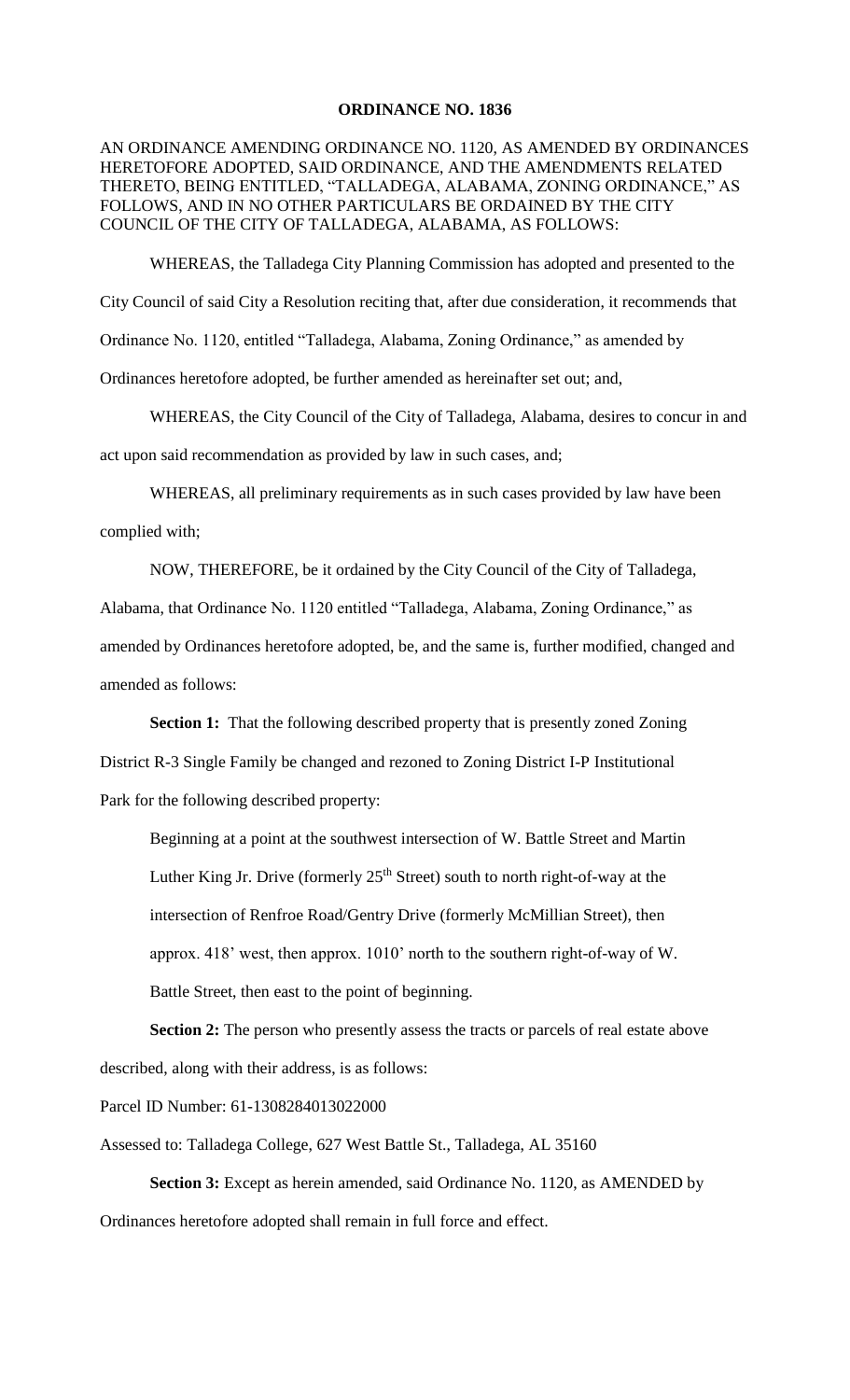## **ORDINANCE NO. 1836**

## AN ORDINANCE AMENDING ORDINANCE NO. 1120, AS AMENDED BY ORDINANCES HERETOFORE ADOPTED, SAID ORDINANCE, AND THE AMENDMENTS RELATED THERETO, BEING ENTITLED, "TALLADEGA, ALABAMA, ZONING ORDINANCE," AS FOLLOWS, AND IN NO OTHER PARTICULARS BE ORDAINED BY THE CITY COUNCIL OF THE CITY OF TALLADEGA, ALABAMA, AS FOLLOWS:

WHEREAS, the Talladega City Planning Commission has adopted and presented to the

City Council of said City a Resolution reciting that, after due consideration, it recommends that

Ordinance No. 1120, entitled "Talladega, Alabama, Zoning Ordinance," as amended by

Ordinances heretofore adopted, be further amended as hereinafter set out; and,

WHEREAS, the City Council of the City of Talladega, Alabama, desires to concur in and act upon said recommendation as provided by law in such cases, and;

WHEREAS, all preliminary requirements as in such cases provided by law have been complied with;

NOW, THEREFORE, be it ordained by the City Council of the City of Talladega, Alabama, that Ordinance No. 1120 entitled "Talladega, Alabama, Zoning Ordinance," as amended by Ordinances heretofore adopted, be, and the same is, further modified, changed and amended as follows:

**Section 1:** That the following described property that is presently zoned Zoning District R-3 Single Family be changed and rezoned to Zoning District I-P Institutional Park for the following described property:

Beginning at a point at the southwest intersection of W. Battle Street and Martin Luther King Jr. Drive (formerly  $25<sup>th</sup>$  Street) south to north right-of-way at the intersection of Renfroe Road/Gentry Drive (formerly McMillian Street), then approx. 418' west, then approx. 1010' north to the southern right-of-way of W. Battle Street, then east to the point of beginning.

**Section 2:** The person who presently assess the tracts or parcels of real estate above described, along with their address, is as follows:

Parcel ID Number: 61-1308284013022000

Assessed to: Talladega College, 627 West Battle St., Talladega, AL 35160

**Section 3:** Except as herein amended, said Ordinance No. 1120, as AMENDED by Ordinances heretofore adopted shall remain in full force and effect.